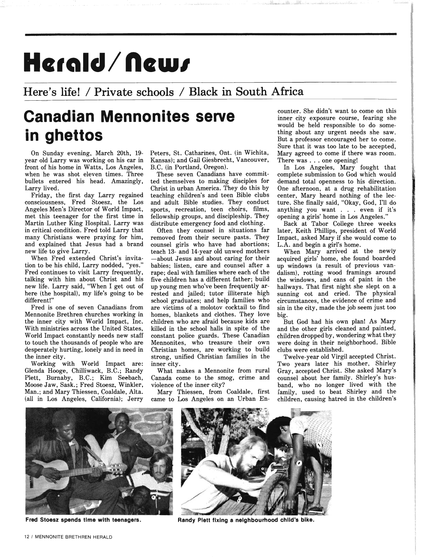## Herald/News

## **Here's life! / Private schools / Black in South Africa**

## **Canadian Mennonites serve in ghettos**

On Sunday evening, March 20th, 19 year old Larry was working on his car in front of his home in Watts, Los Angeles, when he was shot eleven times. Three bullets entered his head. Amazingly, Larry lived.

Friday, the first day Larry regained consciousness, Fred Stoesz, the Los Angeles Men's Director of World Impact, met this teenager for the first time in Martin Luther King Hospital. Larry was in critical condition. Fred told Larry that many Christians were praying for him, and explained that Jesus had a brand new life to give Larry.

When Fred extended Christ's invitation to be his child, Larry nodded, "yes." Fred continues to visit Larry frequently, talking with him about Christ and his new life. Larry said, "When I get out of here (the hospital), my life's going to be different!"

Fred is one of seven Canadians from Mennonite Brethren churches working in the inner city with World Impact, Inc. With ministries across the United States, World Impact constantly needs new staff to touch the thousands of people who are desperately hurting, lonely and in need in the inner city.

Working with World Impact are: Glenda Hooge, Chilliwack, B.C.; Randy Plett, Burnaby, B.C.; Kim Seebach, Moose Jaw, Sask.; Fred Stoesz, Winkler, Man.; and Mary Thiessen, Coaldale, Alta. (all in Los Angeles, California); Jerry Peters, st. Catharines, Ont. (in Wichita, Kansas); and Gail Giesbrecht, Vancouver, B.C. (in Portland, Oregon).

These seven Canadians have committed themselves to making disciples for Christ in urban America. They do this by teaching children's and teen Bible clubs and adult Bible studies. They conduct sports, recreation, teen choirs, films, fellowship groups, and discipleship. They distribute emergency food and clothing.

Often they counsel in situations far removed from their secure pasts. They counsel girls who have had abortions; teach 13- and 14-year old unwed mothers -about Jesus and about caring for their babies; listen, care and counsel after a rape; deal with families where each of the five children has a different father; build up young men who've been frequently arrested and jailed; tutor illiterate high school graduates; and help families who are victims of a molotov cocktail to find homes, blankets and clothes. They love children who are afraid because kids are killed in the school halls in spite of the constant police guards. These Canadian Mennonites, who treasure their own Christian homes, are working to build strong, unified Christian families in the inner city.

What makes a Mennonite from rural Canada come to the smog, crime and violence of the inner city?

Mary Thiessen, from Coaldale, first came to Los Angeles on an Urban Encounter. She didn't want to come on this inner city exposure course, fearing she would be held responsible to do something about any urgent needs she saw. But a professor encouraged her to come. Sure that it was too late to be accepted, Mary agreed to come if there was room. There was ... one opening!

In Los Angeles, Mary fought that complete submission to God which would demand total openness to his direction. One afternoon, at a drug rehabilitation center, Mary heard nothing of the lecture. She finally said, "Okay, God, I'll do anything you want . . . even if it's opening a girls' home in Los Angeles."

Back at Tabor College three weeks later, Keith Phillips, president of World Impact, asked Mary if she would come to L.A. and begin a girl's home.

When Mary arrived at the newly acquired girls' home, she found boarded up windows (a result of previous vandalism), rotting wood framings around the windows, and cans of paint in the hallways. That first night she slept on a sunning cot and cried. The physical circumstances, the evidence of crime and sin in the city, made the job seem just too big.

But God had his own plan! As Mary and the other girls cleaned and painted, children dropped by, wondering what they were doing in their neighborhood. Bible clubs were established.

Twelve-year old Virgil accepted Christ. Two years later his mother, Shirley Gray, accepted Christ. She asked Mary's counsel about her family. Shirley's husband, who no longer lived with the family, used to beat Shirley and the children, causing hatred in the children's





**Fred Stoesz spends time with teenagers. Randy Plett fixing a neighbourhood child's bike.**